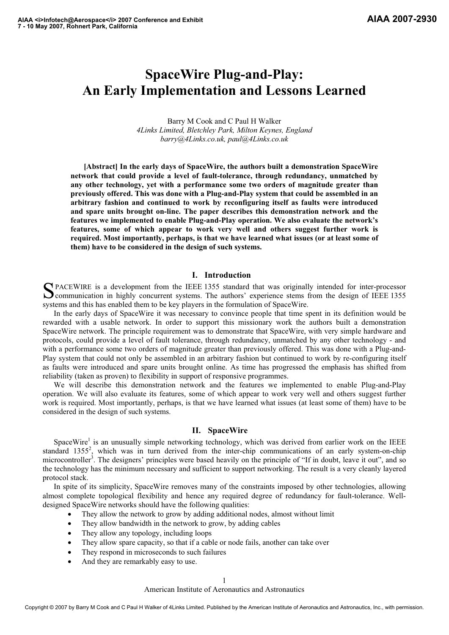# **SpaceWire Plug-and-Play: An Early Implementation and Lessons Learned**

Barry M Cook and C Paul H Walker *4Links Limited, Bletchley Park, Milton Keynes, England barry@4Links.co.uk, paul@4Links.co.uk* 

 **[Abstract] In the early days of SpaceWire, the authors built a demonstration SpaceWire network that could provide a level of fault-tolerance, through redundancy, unmatched by any other technology, yet with a performance some two orders of magnitude greater than previously offered. This was done with a Plug-and-Play system that could be assembled in an arbitrary fashion and continued to work by reconfiguring itself as faults were introduced and spare units brought on-line. The paper describes this demonstration network and the features we implemented to enable Plug-and-Play operation. We also evaluate the network's features, some of which appear to work very well and others suggest further work is required. Most importantly, perhaps, is that we have learned what issues (or at least some of them) have to be considered in the design of such systems.** 

# **I. Introduction**

SPACEWIRE is a development from the IEEE 1355 standard that was originally intended for inter-processor communication in highly concurrent systems. The authors' experience stems from the design of IEEE 1355 **Communication in highly concurrent systems.** The authors' experience stems from the design of IEEE 1355 systems and this has enabled them to be key players in the formulation of SpaceWire.

In the early days of SpaceWire it was necessary to convince people that time spent in its definition would be rewarded with a usable network. In order to support this missionary work the authors built a demonstration SpaceWire network. The principle requirement was to demonstrate that SpaceWire, with very simple hardware and protocols, could provide a level of fault tolerance, through redundancy, unmatched by any other technology - and with a performance some two orders of magnitude greater than previously offered. This was done with a Plug-and-Play system that could not only be assembled in an arbitrary fashion but continued to work by re-configuring itself as faults were introduced and spare units brought online. As time has progressed the emphasis has shifted from reliability (taken as proven) to flexibility in support of responsive programmes.

We will describe this demonstration network and the features we implemented to enable Plug-and-Play operation. We will also evaluate its features, some of which appear to work very well and others suggest further work is required. Most importantly, perhaps, is that we have learned what issues (at least some of them) have to be considered in the design of such systems.

# **II. SpaceWire**

SpaceWire<sup>1</sup> is an unusually simple networking technology, which was derived from earlier work on the IEEE standard 1355<sup>2</sup>, which was in turn derived from the inter-chip communications of an early system-on-chip microcontroller<sup>3</sup>. The designers' principles were based heavily on the principle of "If in doubt, leave it out", and so the technology has the minimum necessary and sufficient to support networking. The result is a very cleanly layered protocol stack.

In spite of its simplicity, SpaceWire removes many of the constraints imposed by other technologies, allowing almost complete topological flexibility and hence any required degree of redundancy for fault-tolerance. Welldesigned SpaceWire networks should have the following qualities:

- -They allow the network to grow by adding additional nodes, almost without limit
- -They allow bandwidth in the network to grow, by adding cables
- -They allow any topology, including loops
- $\bullet$ They allow spare capacity, so that if a cable or node fails, another can take over
- -They respond in microseconds to such failures
- -And they are remarkably easy to use.

American Institute of Aeronautics and Astronautics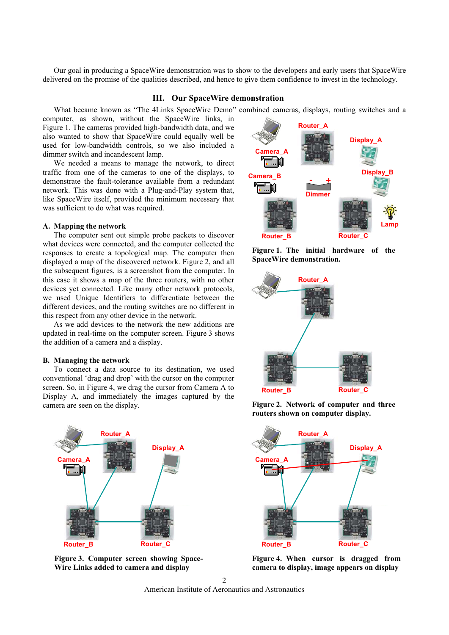Our goal in producing a SpaceWire demonstration was to show to the developers and early users that SpaceWire delivered on the promise of the qualities described, and hence to give them confidence to invest in the technology.

# **III. Our SpaceWire demonstration**

What became known as "The 4Links SpaceWire Demo" combined cameras, displays, routing switches and a

computer, as shown, without the SpaceWire links, in Figure 1. The cameras provided high-bandwidth data, and we also wanted to show that SpaceWire could equally well be used for low-bandwidth controls, so we also included a dimmer switch and incandescent lamp.

We needed a means to manage the network, to direct traffic from one of the cameras to one of the displays, to demonstrate the fault-tolerance available from a redundant network. This was done with a Plug-and-Play system that, like SpaceWire itself, provided the minimum necessary that was sufficient to do what was required.

# **A. Mapping the network**

The computer sent out simple probe packets to discover what devices were connected, and the computer collected the responses to create a topological map. The computer then displayed a map of the discovered network. Figure 2, and all the subsequent figures, is a screenshot from the computer. In this case it shows a map of the three routers, with no other devices yet connected. Like many other network protocols, we used Unique Identifiers to differentiate between the different devices, and the routing switches are no different in this respect from any other device in the network.

As we add devices to the network the new additions are updated in real-time on the computer screen. Figure 3 shows the addition of a camera and a display.

#### **B. Managing the network**

To connect a data source to its destination, we used conventional 'drag and drop' with the cursor on the computer screen. So, in Figure 4, we drag the cursor from Camera A to Display A, and immediately the images captured by the camera are seen on the display. **Figure 2. Network of computer and three** 







**Figure 1. The initial hardware of the SpaceWire demonstration.** 



**routers shown on computer display.** 



**Figure 4. When cursor is dragged from camera to display, image appears on display**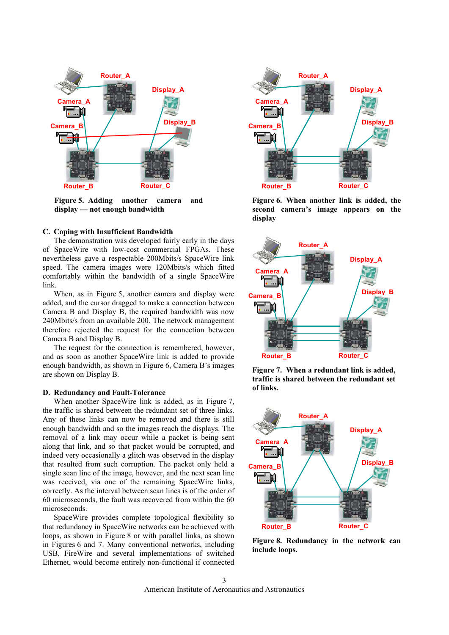

**Figure 5. Adding another camera and display — not enough bandwidth** 

#### **C. Coping with Insufficient Bandwidth**

The demonstration was developed fairly early in the days of SpaceWire with low-cost commercial FPGAs. These nevertheless gave a respectable 200Mbits/s SpaceWire link speed. The camera images were 120Mbits/s which fitted comfortably within the bandwidth of a single SpaceWire link.

When, as in Figure 5, another camera and display were added, and the cursor dragged to make a connection between Camera B and Display B, the required bandwidth was now 240Mbits/s from an available 200. The network management therefore rejected the request for the connection between Camera B and Display B.

The request for the connection is remembered, however, and as soon as another SpaceWire link is added to provide enough bandwidth, as shown in Figure 6, Camera B's images are shown on Display B.

#### **D. Redundancy and Fault-Tolerance**

When another SpaceWire link is added, as in Figure 7, the traffic is shared between the redundant set of three links. Any of these links can now be removed and there is still enough bandwidth and so the images reach the displays. The removal of a link may occur while a packet is being sent along that link, and so that packet would be corrupted, and indeed very occasionally a glitch was observed in the display that resulted from such corruption. The packet only held a single scan line of the image, however, and the next scan line was received, via one of the remaining SpaceWire links, correctly. As the interval between scan lines is of the order of 60 microseconds, the fault was recovered from within the 60 microseconds.

SpaceWire provides complete topological flexibility so that redundancy in SpaceWire networks can be achieved with loops, as shown in Figure 8 or with parallel links, as shown in Figures 6 and 7. Many conventional networks, including USB, FireWire and several implementations of switched Ethernet, would become entirely non-functional if connected



**Figure 6. When another link is added, the second camera's image appears on the display** 



**Figure 7. When a redundant link is added, traffic is shared between the redundant set of links.** 



**Figure 8. Redundancy in the network can include loops.**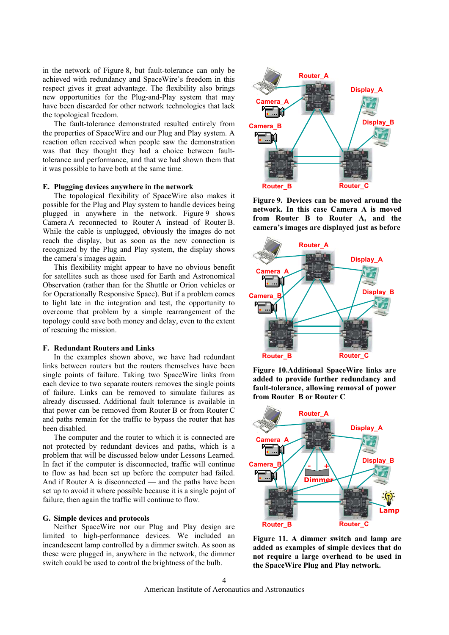in the network of Figure 8, but fault-tolerance can only be achieved with redundancy and SpaceWire's freedom in this respect gives it great advantage. The flexibility also brings new opportunities for the Plug-and-Play system that may have been discarded for other network technologies that lack the topological freedom.

The fault-tolerance demonstrated resulted entirely from the properties of SpaceWire and our Plug and Play system. A reaction often received when people saw the demonstration was that they thought they had a choice between faulttolerance and performance, and that we had shown them that it was possible to have both at the same time.

## **E. Plugging devices anywhere in the network**

The topological flexibility of SpaceWire also makes it possible for the Plug and Play system to handle devices being plugged in anywhere in the network. Figure 9 shows Camera A reconnected to Router A instead of Router B. While the cable is unplugged, obviously the images do not reach the display, but as soon as the new connection is recognized by the Plug and Play system, the display shows the camera's images again.

This flexibility might appear to have no obvious benefit for satellites such as those used for Earth and Astronomical Observation (rather than for the Shuttle or Orion vehicles or for Operationally Responsive Space). But if a problem comes to light late in the integration and test, the opportunity to overcome that problem by a simple rearrangement of the topology could save both money and delay, even to the extent of rescuing the mission.

#### **F. Redundant Routers and Links**

In the examples shown above, we have had redundant links between routers but the routers themselves have been single points of failure. Taking two SpaceWire links from each device to two separate routers removes the single points of failure. Links can be removed to simulate failures as already discussed. Additional fault tolerance is available in that power can be removed from Router B or from Router C and paths remain for the traffic to bypass the router that has been disabled.

The computer and the router to which it is connected are not protected by redundant devices and paths, which is a problem that will be discussed below under Lessons Learned. In fact if the computer is disconnected, traffic will continue to flow as had been set up before the computer had failed. And if Router A is disconnected — and the paths have been set up to avoid it where possible because it is a single pojnt of failure, then again the traffic will continue to flow.

#### **G. Simple devices and protocols**

Neither SpaceWire nor our Plug and Play design are limited to high-performance devices. We included an incandescent lamp controlled by a dimmer switch. As soon as these were plugged in, anywhere in the network, the dimmer switch could be used to control the brightness of the bulb.



**Figure 9. Devices can be moved around the network. In this case Camera A is moved from Router B to Router A, and the camera's images are displayed just as before** 



**Figure 10.Additional SpaceWire links are added to provide further redundancy and fault-tolerance, allowing removal of power from Router B or Router C** 



**Figure 11. A dimmer switch and lamp are added as examples of simple devices that do not require a large overhead to be used in the SpaceWire Plug and Play network.**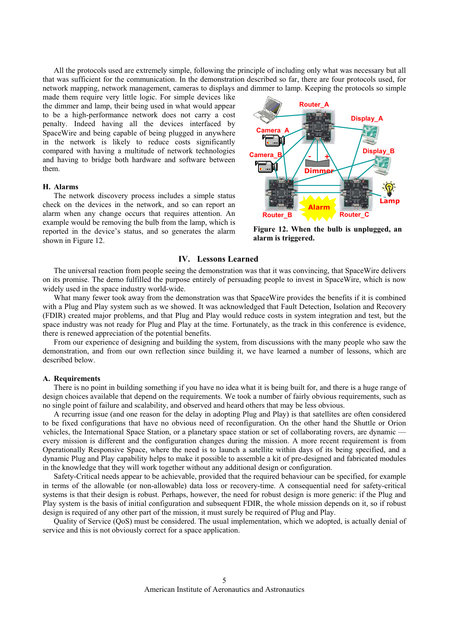All the protocols used are extremely simple, following the principle of including only what was necessary but all that was sufficient for the communication. In the demonstration described so far, there are four protocols used, for network mapping, network management, cameras to displays and dimmer to lamp. Keeping the protocols so simple

made them require very little logic. For simple devices like the dimmer and lamp, their being used in what would appear to be a high-performance network does not carry a cost penalty. Indeed having all the devices interfaced by SpaceWire and being capable of being plugged in anywhere in the network is likely to reduce costs significantly compared with having a multitude of network technologies and having to bridge both hardware and software between them.

## **H. Alarms**

The network discovery process includes a simple status check on the devices in the network, and so can report an alarm when any change occurs that requires attention. An example would be removing the bulb from the lamp, which is reported in the device's status, and so generates the alarm shown in Figure 12.



**Figure 12. When the bulb is unplugged, an alarm is triggered.** 

## **IV. Lessons Learned**

The universal reaction from people seeing the demonstration was that it was convincing, that SpaceWire delivers on its promise. The demo fulfilled the purpose entirely of persuading people to invest in SpaceWire, which is now widely used in the space industry world-wide.

What many fewer took away from the demonstration was that SpaceWire provides the benefits if it is combined with a Plug and Play system such as we showed. It was acknowledged that Fault Detection, Isolation and Recovery (FDIR) created major problems, and that Plug and Play would reduce costs in system integration and test, but the space industry was not ready for Plug and Play at the time. Fortunately, as the track in this conference is evidence, there is renewed appreciation of the potential benefits.

From our experience of designing and building the system, from discussions with the many people who saw the demonstration, and from our own reflection since building it, we have learned a number of lessons, which are described below.

#### **A. Requirements**

There is no point in building something if you have no idea what it is being built for, and there is a huge range of design choices available that depend on the requirements. We took a number of fairly obvious requirements, such as no single point of failure and scalability, and observed and heard others that may be less obvious.

A recurring issue (and one reason for the delay in adopting Plug and Play) is that satellites are often considered to be fixed configurations that have no obvious need of reconfiguration. On the other hand the Shuttle or Orion vehicles, the International Space Station, or a planetary space station or set of collaborating rovers, are dynamic every mission is different and the configuration changes during the mission. A more recent requirement is from Operationally Responsive Space, where the need is to launch a satellite within days of its being specified, and a dynamic Plug and Play capability helps to make it possible to assemble a kit of pre-designed and fabricated modules in the knowledge that they will work together without any additional design or configuration.

Safety-Critical needs appear to be achievable, provided that the required behaviour can be specified, for example in terms of the allowable (or non-allowable) data loss or recovery-time. A consequential need for safety-critical systems is that their design is robust. Perhaps, however, the need for robust design is more generic: if the Plug and Play system is the basis of initial configuration and subsequent FDIR, the whole mission depends on it, so if robust design is required of any other part of the mission, it must surely be required of Plug and Play.

Quality of Service (QoS) must be considered. The usual implementation, which we adopted, is actually denial of service and this is not obviously correct for a space application.